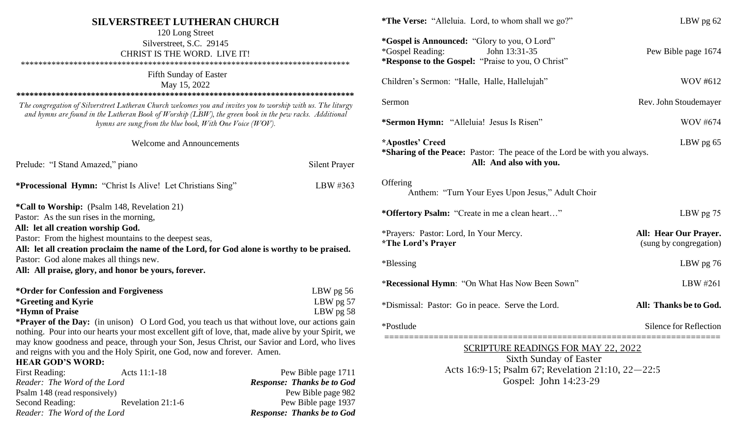| <b>SILVERSTREET LUTHERAN CHURCH</b>                                                                                                                                                                                                                                                 |                                   | *The Verse: "Alleluia. Lord, to whom shall we go?"                                                                                              | LBW pg 62                                       |
|-------------------------------------------------------------------------------------------------------------------------------------------------------------------------------------------------------------------------------------------------------------------------------------|-----------------------------------|-------------------------------------------------------------------------------------------------------------------------------------------------|-------------------------------------------------|
| 120 Long Street<br>Silverstreet, S.C. 29145<br>CHRIST IS THE WORD. LIVE IT!                                                                                                                                                                                                         |                                   | *Gospel is Announced: "Glory to you, O Lord"<br><i>*</i> Gospel Reading:<br>John 13:31-35<br>*Response to the Gospel: "Praise to you, O Christ" | Pew Bible page 1674                             |
| Fifth Sunday of Easter<br>May 15, 2022                                                                                                                                                                                                                                              |                                   | Children's Sermon: "Halle, Halle, Hallelujah"                                                                                                   | WOV #612                                        |
| The congregation of Silverstreet Lutheran Church welcomes you and invites you to worship with us. The liturgy<br>and hymns are found in the Lutheran Book of Worship (LBW), the green book in the pew racks. Additional<br>hymns are sung from the blue book, With One Voice (WOV). |                                   | Sermon<br>*Sermon Hymn: "Alleluia! Jesus Is Risen"                                                                                              | Rev. John Stoudemayer<br><b>WOV #674</b>        |
|                                                                                                                                                                                                                                                                                     |                                   |                                                                                                                                                 |                                                 |
| <b>Welcome and Announcements</b>                                                                                                                                                                                                                                                    |                                   | *Apostles' Creed<br>LBW pg 65<br>*Sharing of the Peace: Pastor: The peace of the Lord be with you always.                                       |                                                 |
| Prelude: "I Stand Amazed," piano                                                                                                                                                                                                                                                    | <b>Silent Prayer</b>              | All: And also with you.                                                                                                                         |                                                 |
| *Processional Hymn: "Christ Is Alive! Let Christians Sing"                                                                                                                                                                                                                          | LBW #363                          | Offering<br>Anthem: "Turn Your Eyes Upon Jesus," Adult Choir                                                                                    |                                                 |
| <i>*Call to Worship: (Psalm 148, Revelation 21)</i>                                                                                                                                                                                                                                 |                                   |                                                                                                                                                 |                                                 |
| Pastor: As the sun rises in the morning,                                                                                                                                                                                                                                            |                                   | *Offertory Psalm: "Create in me a clean heart"                                                                                                  | LBW pg 75                                       |
| All: let all creation worship God.<br>Pastor: From the highest mountains to the deepest seas,                                                                                                                                                                                       |                                   | *Prayers: Pastor: Lord, In Your Mercy.<br><i><b>*The Lord's Prayer</b></i>                                                                      | All: Hear Our Prayer.<br>(sung by congregation) |
| All: let all creation proclaim the name of the Lord, for God alone is worthy to be praised.                                                                                                                                                                                         |                                   |                                                                                                                                                 |                                                 |
| Pastor: God alone makes all things new.<br>All: All praise, glory, and honor be yours, forever.                                                                                                                                                                                     |                                   | *Blessing                                                                                                                                       | LBW pg 76                                       |
| *Order for Confession and Forgiveness                                                                                                                                                                                                                                               | LBW $pg$ 56                       | *Recessional Hymn: "On What Has Now Been Sown"                                                                                                  | LBW #261                                        |
| <i>*</i> Greeting and Kyrie<br>*Hymn of Praise                                                                                                                                                                                                                                      | LBW $pg$ 57<br>LBW $pg\ 58$       | *Dismissal: Pastor: Go in peace. Serve the Lord.                                                                                                | All: Thanks be to God.                          |
| *Prayer of the Day: (in unison) O Lord God, you teach us that without love, our actions gain<br>nothing. Pour into our hearts your most excellent gift of love, that, made alive by your Spirit, we                                                                                 |                                   | *Postlude                                                                                                                                       | Silence for Reflection                          |
| may know goodness and peace, through your Son, Jesus Christ, our Savior and Lord, who lives                                                                                                                                                                                         |                                   | <b>SCRIPTURE READINGS FOR MAY 22, 2022</b>                                                                                                      |                                                 |
| and reigns with you and the Holy Spirit, one God, now and forever. Amen.                                                                                                                                                                                                            |                                   | Sixth Sunday of Easter                                                                                                                          |                                                 |
| <b>HEAR GOD'S WORD:</b><br>Acts 11:1-18<br><b>First Reading:</b>                                                                                                                                                                                                                    | Pew Bible page 1711               | Acts 16:9-15; Psalm 67; Revelation 21:10, 22-22:5                                                                                               |                                                 |
| Reader: The Word of the Lord                                                                                                                                                                                                                                                        | <b>Response: Thanks be to God</b> | Gospel: John 14:23-29                                                                                                                           |                                                 |
| Psalm 148 (read responsively)                                                                                                                                                                                                                                                       | Pew Bible page 982                |                                                                                                                                                 |                                                 |
| <b>Second Reading:</b><br>Revelation 21:1-6                                                                                                                                                                                                                                         | Pew Bible page 1937               |                                                                                                                                                 |                                                 |

*Reader: The Word of the Lord Response: Thanks be to God*